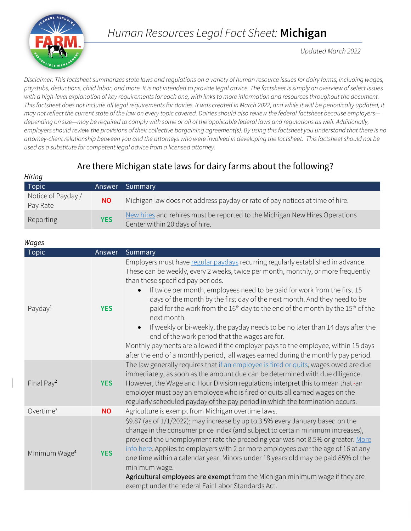

*Human Resources Legal Fact Sheet:* **Michigan**

*Updated March 2022*

*Disclaimer: This factsheet summarizes state laws and regulations on a variety of human resource issues for dairy farms, including wages, paystubs, deductions, child labor, and more. It is not intended to provide legal advice. The factsheet is simply an overview of select issues with a high-level explanation of key requirements for each one, with links to more information and resources throughout the document.*  This factsheet does not include all legal requirements for dairies. It was created in March 2022, and while it will be periodically updated, it *may not reflect the current state of the law on every topic covered. Dairies should also review the federal factsheet because employers depending on size—may be required to comply with some or all of the applicable federal laws and regulations as well. Additionally, employers should review the provisions of their collective bargaining agreement(s). By using this factsheet you understand that there is no attorney-client relationship between you and the attorneys who were involved in developing the factsheet. This factsheet should not be used as a substitute for competent legal advice from a licensed attorney.*

## Are there Michigan state laws for dairy farms about the following?

| Hiring                         |            |                                                                                                               |
|--------------------------------|------------|---------------------------------------------------------------------------------------------------------------|
| Topic                          | Answer     | Summary                                                                                                       |
| Notice of Payday /<br>Pay Rate | <b>NO</b>  | Michigan law does not address payday or rate of pay notices at time of hire.                                  |
| Reporting                      | <b>YES</b> | New hires and rehires must be reported to the Michigan New Hires Operations<br>Center within 20 days of hire. |

| Wages                     |            |                                                                                                                                                                                                                                                                                                                                                                                                                                                                                                                                                                                                                                                                                                                                                                                                                                     |
|---------------------------|------------|-------------------------------------------------------------------------------------------------------------------------------------------------------------------------------------------------------------------------------------------------------------------------------------------------------------------------------------------------------------------------------------------------------------------------------------------------------------------------------------------------------------------------------------------------------------------------------------------------------------------------------------------------------------------------------------------------------------------------------------------------------------------------------------------------------------------------------------|
| <b>Topic</b>              | Answer     | Summary                                                                                                                                                                                                                                                                                                                                                                                                                                                                                                                                                                                                                                                                                                                                                                                                                             |
| Payday <sup>1</sup>       | <b>YES</b> | Employers must have regular paydays recurring regularly established in advance.<br>These can be weekly, every 2 weeks, twice per month, monthly, or more frequently<br>than these specified pay periods.<br>If twice per month, employees need to be paid for work from the first 15<br>$\bullet$<br>days of the month by the first day of the next month. And they need to be<br>paid for the work from the 16 <sup>th</sup> day to the end of the month by the 15 <sup>th</sup> of the<br>next month.<br>If weekly or bi-weekly, the payday needs to be no later than 14 days after the<br>$\bullet$<br>end of the work period that the wages are for.<br>Monthly payments are allowed if the employer pays to the employee, within 15 days<br>after the end of a monthly period, all wages earned during the monthly pay period. |
| Final Pay <sup>2</sup>    | <b>YES</b> | The law generally requires that if an employee is fired or quits, wages owed are due<br>immediately, as soon as the amount due can be determined with due diligence.<br>However, the Wage and Hour Division regulations interpret this to mean that -an<br>employer must pay an employee who is fired or quits all earned wages on the<br>regularly scheduled payday of the pay period in which the termination occurs.                                                                                                                                                                                                                                                                                                                                                                                                             |
| Overtime <sup>3</sup>     | <b>NO</b>  | Agriculture is exempt from Michigan overtime laws.                                                                                                                                                                                                                                                                                                                                                                                                                                                                                                                                                                                                                                                                                                                                                                                  |
| Minimum Wage <sup>4</sup> | <b>YES</b> | \$9.87 (as of 1/1/2022); may increase by up to 3.5% every January based on the<br>change in the consumer price index (and subject to certain minimum increases),<br>provided the unemployment rate the preceding year was not 8.5% or greater. More<br>info here. Applies to employers with 2 or more employees over the age of 16 at any<br>one time within a calendar year. Minors under 18 years old may be paid 85% of the<br>minimum wage.<br>Agricultural employees are exempt from the Michigan minimum wage if they are<br>exempt under the federal Fair Labor Standards Act.                                                                                                                                                                                                                                               |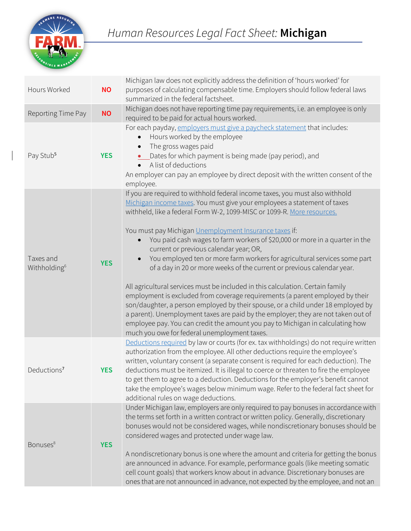

| Hours Worked                          | <b>NO</b>  | Michigan law does not explicitly address the definition of 'hours worked' for<br>purposes of calculating compensable time. Employers should follow federal laws<br>summarized in the federal factsheet.                                                                                                                                                                                                                                                                                                                                                                                                                                                                                                                                                                                                                                                                                                                                                                                                                                                                               |
|---------------------------------------|------------|---------------------------------------------------------------------------------------------------------------------------------------------------------------------------------------------------------------------------------------------------------------------------------------------------------------------------------------------------------------------------------------------------------------------------------------------------------------------------------------------------------------------------------------------------------------------------------------------------------------------------------------------------------------------------------------------------------------------------------------------------------------------------------------------------------------------------------------------------------------------------------------------------------------------------------------------------------------------------------------------------------------------------------------------------------------------------------------|
| Reporting Time Pay                    | <b>NO</b>  | Michigan does not have reporting time pay requirements, i.e. an employee is only<br>required to be paid for actual hours worked.                                                                                                                                                                                                                                                                                                                                                                                                                                                                                                                                                                                                                                                                                                                                                                                                                                                                                                                                                      |
| Pay Stub <sup>5</sup>                 | <b>YES</b> | For each payday, employers must give a paycheck statement that includes:<br>Hours worked by the employee<br>The gross wages paid<br>$\bullet$<br>_Dates for which payment is being made (pay period), and<br>$\bullet$<br>• A list of deductions<br>An employer can pay an employee by direct deposit with the written consent of the<br>employee.                                                                                                                                                                                                                                                                                                                                                                                                                                                                                                                                                                                                                                                                                                                                    |
| Taxes and<br>Withholding <sup>6</sup> | <b>YES</b> | If you are required to withhold federal income taxes, you must also withhold<br>Michigan income taxes. You must give your employees a statement of taxes<br>withheld, like a federal Form W-2, 1099-MISC or 1099-R. More resources.<br>You must pay Michigan Unemployment Insurance taxes if:<br>You paid cash wages to farm workers of \$20,000 or more in a quarter in the<br>$\bullet$<br>current or previous calendar year; OR,<br>You employed ten or more farm workers for agricultural services some part<br>$\bullet$<br>of a day in 20 or more weeks of the current or previous calendar year.<br>All agricultural services must be included in this calculation. Certain family<br>employment is excluded from coverage requirements (a parent employed by their<br>son/daughter, a person employed by their spouse, or a child under 18 employed by<br>a parent). Unemployment taxes are paid by the employer; they are not taken out of<br>employee pay. You can credit the amount you pay to Michigan in calculating how<br>much you owe for federal unemployment taxes. |
| Deductions <sup>7</sup>               | <b>YES</b> | Deductions required by law or courts (for ex. tax withholdings) do not require written<br>authorization from the employee. All other deductions require the employee's<br>written, voluntary consent (a separate consent is required for each deduction). The<br>deductions must be itemized. It is illegal to coerce or threaten to fire the employee<br>to get them to agree to a deduction. Deductions for the employer's benefit cannot<br>take the employee's wages below minimum wage. Refer to the federal fact sheet for<br>additional rules on wage deductions.                                                                                                                                                                                                                                                                                                                                                                                                                                                                                                              |
| Bonuses <sup>8</sup>                  | <b>YES</b> | Under Michigan law, employers are only required to pay bonuses in accordance with<br>the terms set forth in a written contract or written policy. Generally, discretionary<br>bonuses would not be considered wages, while nondiscretionary bonuses should be<br>considered wages and protected under wage law.<br>A nondiscretionary bonus is one where the amount and criteria for getting the bonus<br>are announced in advance. For example, performance goals (like meeting somatic<br>cell count goals) that workers know about in advance. Discretionary bonuses are<br>ones that are not announced in advance, not expected by the employee, and not an                                                                                                                                                                                                                                                                                                                                                                                                                       |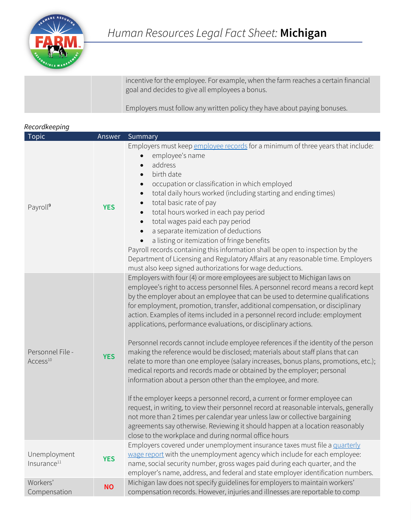

| incentive for the employee. For example, when the farm reaches a certain financial<br>goal and decides to give all employees a bonus. |
|---------------------------------------------------------------------------------------------------------------------------------------|
| Employers must follow any written policy they have about paying bonuses.                                                              |

| Recordkeeping                            |            |                                                                                                                                                                                                                                                                                                                                                                                                                                                                                                                                                                                                                                                                                                                                                                                                                                                                                                                                                                                                                                                                                                                                                                                                                                                                                                 |  |
|------------------------------------------|------------|-------------------------------------------------------------------------------------------------------------------------------------------------------------------------------------------------------------------------------------------------------------------------------------------------------------------------------------------------------------------------------------------------------------------------------------------------------------------------------------------------------------------------------------------------------------------------------------------------------------------------------------------------------------------------------------------------------------------------------------------------------------------------------------------------------------------------------------------------------------------------------------------------------------------------------------------------------------------------------------------------------------------------------------------------------------------------------------------------------------------------------------------------------------------------------------------------------------------------------------------------------------------------------------------------|--|
| <b>Topic</b>                             | Answer     | Summary                                                                                                                                                                                                                                                                                                                                                                                                                                                                                                                                                                                                                                                                                                                                                                                                                                                                                                                                                                                                                                                                                                                                                                                                                                                                                         |  |
| Payroll <sup>9</sup>                     | <b>YES</b> | Employers must keep employee records for a minimum of three years that include:<br>employee's name<br>address<br>birth date<br>occupation or classification in which employed<br>total daily hours worked (including starting and ending times)<br>$\bullet$<br>total basic rate of pay<br>total hours worked in each pay period<br>$\bullet$<br>total wages paid each pay period<br>$\bullet$<br>a separate itemization of deductions<br>a listing or itemization of fringe benefits<br>Payroll records containing this information shall be open to inspection by the<br>Department of Licensing and Regulatory Affairs at any reasonable time. Employers<br>must also keep signed authorizations for wage deductions.                                                                                                                                                                                                                                                                                                                                                                                                                                                                                                                                                                        |  |
| Personnel File -<br>Access <sup>10</sup> | <b>YES</b> | Employers with four (4) or more employees are subject to Michigan laws on<br>employee's right to access personnel files. A personnel record means a record kept<br>by the employer about an employee that can be used to determine qualifications<br>for employment, promotion, transfer, additional compensation, or disciplinary<br>action. Examples of items included in a personnel record include: employment<br>applications, performance evaluations, or disciplinary actions.<br>Personnel records cannot include employee references if the identity of the person<br>making the reference would be disclosed; materials about staff plans that can<br>relate to more than one employee (salary increases, bonus plans, promotions, etc.);<br>medical reports and records made or obtained by the employer; personal<br>information about a person other than the employee, and more.<br>If the employer keeps a personnel record, a current or former employee can<br>request, in writing, to view their personnel record at reasonable intervals, generally<br>not more than 2 times per calendar year unless law or collective bargaining<br>agreements say otherwise. Reviewing it should happen at a location reasonably<br>close to the workplace and during normal office hours |  |
| Unemployment<br>Insurance <sup>11</sup>  | <b>YES</b> | Employers covered under unemployment insurance taxes must file a quarterly<br>wage report with the unemployment agency which include for each employee:<br>name, social security number, gross wages paid during each quarter, and the<br>employer's name, address, and federal and state employer identification numbers.                                                                                                                                                                                                                                                                                                                                                                                                                                                                                                                                                                                                                                                                                                                                                                                                                                                                                                                                                                      |  |
| Workers'<br>Compensation                 | <b>NO</b>  | Michigan law does not specify guidelines for employers to maintain workers'<br>compensation records. However, injuries and illnesses are reportable to comp                                                                                                                                                                                                                                                                                                                                                                                                                                                                                                                                                                                                                                                                                                                                                                                                                                                                                                                                                                                                                                                                                                                                     |  |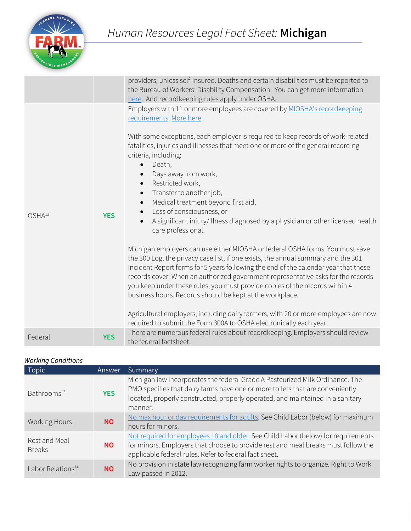

|                    |            | providers, unless self-insured. Deaths and certain disabilities must be reported to<br>the Bureau of Workers' Disability Compensation. You can get more information<br>here. And recordkeeping rules apply under OSHA.                                                                                                                                                                                                                                                                                                                                                                                                                               |
|--------------------|------------|------------------------------------------------------------------------------------------------------------------------------------------------------------------------------------------------------------------------------------------------------------------------------------------------------------------------------------------------------------------------------------------------------------------------------------------------------------------------------------------------------------------------------------------------------------------------------------------------------------------------------------------------------|
|                    | <b>YES</b> | Employers with 11 or more employees are covered by MIOSHA's recordkeeping<br>requirements. More here.                                                                                                                                                                                                                                                                                                                                                                                                                                                                                                                                                |
| OSHA <sup>12</sup> |            | With some exceptions, each employer is required to keep records of work-related<br>fatalities, injuries and illnesses that meet one or more of the general recording<br>criteria, including:<br>Death,<br>$\bullet$<br>Days away from work,<br>Restricted work,<br>Transfer to another job,<br>$\bullet$<br>Medical treatment beyond first aid,<br>Loss of consciousness, or<br>A significant injury/illness diagnosed by a physician or other licensed health<br>care professional.                                                                                                                                                                 |
|                    |            | Michigan employers can use either MIOSHA or federal OSHA forms. You must save<br>the 300 Log, the privacy case list, if one exists, the annual summary and the 301<br>Incident Report forms for 5 years following the end of the calendar year that these<br>records cover. When an authorized government representative asks for the records<br>you keep under these rules, you must provide copies of the records within 4<br>business hours. Records should be kept at the workplace.<br>Agricultural employers, including dairy farmers, with 20 or more employees are now<br>required to submit the Form 300A to OSHA electronically each year. |
| Federal            | <b>YES</b> | There are numerous federal rules about recordkeeping. Employers should review<br>the federal factsheet.                                                                                                                                                                                                                                                                                                                                                                                                                                                                                                                                              |

## *Working Conditions*

| <b>Topic</b>                   | Answer     | Summary                                                                                                                                                                                                                                                     |
|--------------------------------|------------|-------------------------------------------------------------------------------------------------------------------------------------------------------------------------------------------------------------------------------------------------------------|
| Bathrooms <sup>13</sup>        | <b>YES</b> | Michigan law incorporates the federal Grade A Pasteurized Milk Ordinance. The<br>PMO specifies that dairy farms have one or more toilets that are conveniently<br>located, properly constructed, properly operated, and maintained in a sanitary<br>manner. |
| <b>Working Hours</b>           | <b>NO</b>  | No max hour or day requirements for adults. See Child Labor (below) for maximum<br>hours for minors.                                                                                                                                                        |
| Rest and Meal<br><b>Breaks</b> | <b>NO</b>  | Not required for employees 18 and older. See Child Labor (below) for requirements<br>for minors. Employers that choose to provide rest and meal breaks must follow the<br>applicable federal rules. Refer to federal fact sheet.                            |
| Labor Relations <sup>14</sup>  | <b>NO</b>  | No provision in state law recognizing farm worker rights to organize. Right to Work<br>Law passed in 2012.                                                                                                                                                  |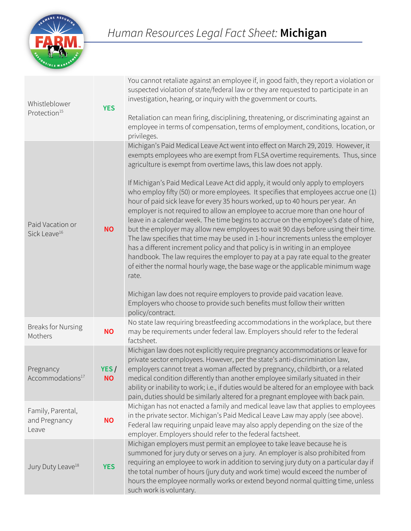

| Whistleblower<br>Protection <sup>15</sup>    | <b>YES</b>        | You cannot retaliate against an employee if, in good faith, they report a violation or<br>suspected violation of state/federal law or they are requested to participate in an<br>investigation, hearing, or inquiry with the government or courts.<br>Retaliation can mean firing, disciplining, threatening, or discriminating against an<br>employee in terms of compensation, terms of employment, conditions, location, or<br>privileges.                                                                                                                                                                                                                                                                                                                                                                                                                                                                                                                                                                                                                                                                                                                                                                                                                                                     |
|----------------------------------------------|-------------------|---------------------------------------------------------------------------------------------------------------------------------------------------------------------------------------------------------------------------------------------------------------------------------------------------------------------------------------------------------------------------------------------------------------------------------------------------------------------------------------------------------------------------------------------------------------------------------------------------------------------------------------------------------------------------------------------------------------------------------------------------------------------------------------------------------------------------------------------------------------------------------------------------------------------------------------------------------------------------------------------------------------------------------------------------------------------------------------------------------------------------------------------------------------------------------------------------------------------------------------------------------------------------------------------------|
| Paid Vacation or<br>Sick Leave <sup>16</sup> | <b>NO</b>         | Michigan's Paid Medical Leave Act went into effect on March 29, 2019. However, it<br>exempts employees who are exempt from FLSA overtime requirements. Thus, since<br>agriculture is exempt from overtime laws, this law does not apply.<br>If Michigan's Paid Medical Leave Act did apply, it would only apply to employers<br>who employ fifty (50) or more employees. It specifies that employees accrue one (1)<br>hour of paid sick leave for every 35 hours worked, up to 40 hours per year. An<br>employer is not required to allow an employee to accrue more than one hour of<br>leave in a calendar week. The time begins to accrue on the employee's date of hire,<br>but the employer may allow new employees to wait 90 days before using their time.<br>The law specifies that time may be used in 1-hour increments unless the employer<br>has a different increment policy and that policy is in writing in an employee<br>handbook. The law requires the employer to pay at a pay rate equal to the greater<br>of either the normal hourly wage, the base wage or the applicable minimum wage<br>rate.<br>Michigan law does not require employers to provide paid vacation leave.<br>Employers who choose to provide such benefits must follow their written<br>policy/contract. |
| <b>Breaks for Nursing</b><br>Mothers         | <b>NO</b>         | No state law requiring breastfeeding accommodations in the workplace, but there<br>may be requirements under federal law. Employers should refer to the federal<br>factsheet.                                                                                                                                                                                                                                                                                                                                                                                                                                                                                                                                                                                                                                                                                                                                                                                                                                                                                                                                                                                                                                                                                                                     |
| Pregnancy<br>Accommodations <sup>17</sup>    | YES/<br><b>NO</b> | Michigan law does not explicitly require pregnancy accommodations or leave for<br>private sector employees. However, per the state's anti-discrimination law,<br>employers cannot treat a woman affected by pregnancy, childbirth, or a related<br>medical condition differently than another employee similarly situated in their<br>ability or inability to work; i.e., if duties would be altered for an employee with back<br>pain, duties should be similarly altered for a pregnant employee with back pain.                                                                                                                                                                                                                                                                                                                                                                                                                                                                                                                                                                                                                                                                                                                                                                                |
| Family, Parental,<br>and Pregnancy<br>Leave  | <b>NO</b>         | Michigan has not enacted a family and medical leave law that applies to employees<br>in the private sector. Michigan's Paid Medical Leave Law may apply (see above).<br>Federal law requiring unpaid leave may also apply depending on the size of the<br>employer. Employers should refer to the federal factsheet.                                                                                                                                                                                                                                                                                                                                                                                                                                                                                                                                                                                                                                                                                                                                                                                                                                                                                                                                                                              |
| Jury Duty Leave <sup>18</sup>                | <b>YES</b>        | Michigan employers must permit an employee to take leave because he is<br>summoned for jury duty or serves on a jury. An employer is also prohibited from<br>requiring an employee to work in addition to serving jury duty on a particular day if<br>the total number of hours (jury duty and work time) would exceed the number of<br>hours the employee normally works or extend beyond normal quitting time, unless<br>such work is voluntary.                                                                                                                                                                                                                                                                                                                                                                                                                                                                                                                                                                                                                                                                                                                                                                                                                                                |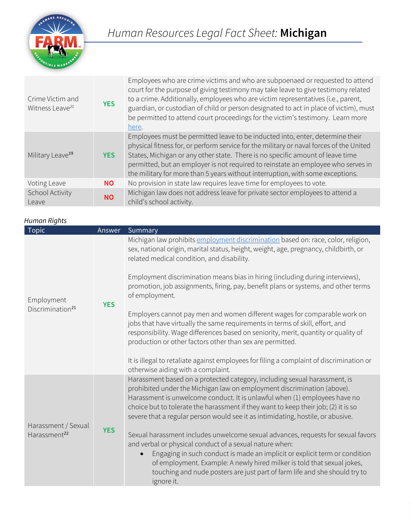

| Crime Victim and<br>Witness Leave <sup>20</sup> | <b>YES</b> | Employees who are crime victims and who are subpoenaed or requested to attend<br>court for the purpose of giving testimony may take leave to give testimony related<br>to a crime. Additionally, employees who are victim representatives (i.e., parent,<br>guardian, or custodian of child or person designated to act in place of victim), must<br>be permitted to attend court proceedings for the victim's testimony. Learn more<br>here. |
|-------------------------------------------------|------------|-----------------------------------------------------------------------------------------------------------------------------------------------------------------------------------------------------------------------------------------------------------------------------------------------------------------------------------------------------------------------------------------------------------------------------------------------|
| Military Leave <sup>19</sup>                    | <b>YES</b> | Employees must be permitted leave to be inducted into, enter, determine their<br>physical fitness for, or perform service for the military or naval forces of the United<br>States, Michigan or any other state. There is no specific amount of leave time<br>permitted, but an employer is not required to reinstate an employee who serves in<br>the military for more than 5 years without interruption, with some exceptions.             |
| Voting Leave                                    | NO.        | No provision in state law requires leave time for employees to vote.                                                                                                                                                                                                                                                                                                                                                                          |
| School Activity<br>Leave                        | <b>NO</b>  | Michigan law does not address leave for private sector employees to attend a<br>child's school activity.                                                                                                                                                                                                                                                                                                                                      |

## *Human Rights*

| Topic                                           | Answer     | Summary                                                                                                                                                                                                                                                                                                                                                                                                     |
|-------------------------------------------------|------------|-------------------------------------------------------------------------------------------------------------------------------------------------------------------------------------------------------------------------------------------------------------------------------------------------------------------------------------------------------------------------------------------------------------|
| Employment<br>Discrimination <sup>21</sup>      |            | Michigan law prohibits employment discrimination based on: race, color, religion,<br>sex, national origin, marital status, height, weight, age, pregnancy, childbirth, or<br>related medical condition, and disability.                                                                                                                                                                                     |
|                                                 | <b>YES</b> | Employment discrimination means bias in hiring (including during interviews),<br>promotion, job assignments, firing, pay, benefit plans or systems, and other terms<br>of employment.                                                                                                                                                                                                                       |
|                                                 |            | Employers cannot pay men and women different wages for comparable work on<br>jobs that have virtually the same requirements in terms of skill, effort, and<br>responsibility. Wage differences based on seniority, merit, quantity or quality of<br>production or other factors other than sex are permitted.                                                                                               |
|                                                 |            | It is illegal to retaliate against employees for filing a complaint of discrimination or<br>otherwise aiding with a complaint.                                                                                                                                                                                                                                                                              |
| Harassment / Sexual<br>Harassment <sup>22</sup> |            | Harassment based on a protected category, including sexual harassment, is<br>prohibited under the Michigan law on employment discrimination (above).<br>Harassment is unwelcome conduct. It is unlawful when (1) employees have no<br>choice but to tolerate the harassment if they want to keep their job; (2) it is so<br>severe that a regular person would see it as intimidating, hostile, or abusive. |
|                                                 | <b>YES</b> | Sexual harassment includes unwelcome sexual advances, requests for sexual favors<br>and verbal or physical conduct of a sexual nature when:                                                                                                                                                                                                                                                                 |
|                                                 |            | Engaging in such conduct is made an implicit or explicit term or condition<br>$\bullet$<br>of employment. Example: A newly hired milker is told that sexual jokes,<br>touching and nude posters are just part of farm life and she should try to<br>ignore it.                                                                                                                                              |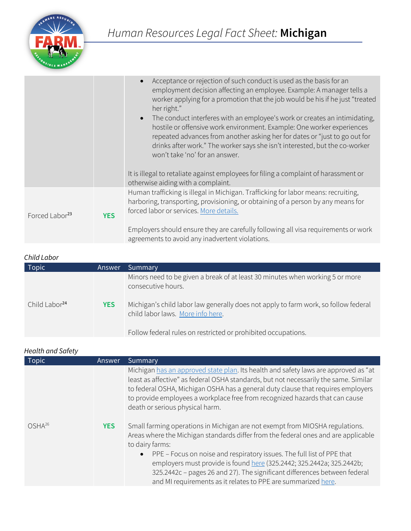

|                            |            | Acceptance or rejection of such conduct is used as the basis for an<br>employment decision affecting an employee. Example: A manager tells a<br>worker applying for a promotion that the job would be his if he just "treated<br>her right."                                                                                                          |
|----------------------------|------------|-------------------------------------------------------------------------------------------------------------------------------------------------------------------------------------------------------------------------------------------------------------------------------------------------------------------------------------------------------|
|                            |            | • The conduct interferes with an employee's work or creates an intimidating,<br>hostile or offensive work environment. Example: One worker experiences<br>repeated advances from another asking her for dates or "just to go out for<br>drinks after work." The worker says she isn't interested, but the co-worker<br>won't take 'no' for an answer. |
|                            |            | It is illegal to retaliate against employees for filing a complaint of harassment or<br>otherwise aiding with a complaint.                                                                                                                                                                                                                            |
| Forced Labor <sup>23</sup> | <b>YES</b> | Human trafficking is illegal in Michigan. Trafficking for labor means: recruiting,<br>harboring, transporting, provisioning, or obtaining of a person by any means for<br>forced labor or services. More details.                                                                                                                                     |
|                            |            | Employers should ensure they are carefully following all visa requirements or work<br>agreements to avoid any inadvertent violations.                                                                                                                                                                                                                 |

| Child Labor               |            |                                                                                                                          |
|---------------------------|------------|--------------------------------------------------------------------------------------------------------------------------|
| Topic                     | Answer     | Summary                                                                                                                  |
|                           |            | Minors need to be given a break of at least 30 minutes when working 5 or more<br>consecutive hours.                      |
| Child Labor <sup>24</sup> | <b>YES</b> | Michigan's child labor law generally does not apply to farm work, so follow federal<br>child labor laws. More info here. |
|                           |            | Follow federal rules on restricted or prohibited occupations.                                                            |

## *Health and Safety*

| <b>Topic</b> | Answer     | Summary                                                                                                                                                                                                                                                                                                                                                                                                                                                                                  |
|--------------|------------|------------------------------------------------------------------------------------------------------------------------------------------------------------------------------------------------------------------------------------------------------------------------------------------------------------------------------------------------------------------------------------------------------------------------------------------------------------------------------------------|
|              |            | Michigan has an approved state plan. Its health and safety laws are approved as "at<br>least as affective" as federal OSHA standards, but not necessarily the same. Similar<br>to federal OSHA, Michigan OSHA has a general duty clause that requires employers<br>to provide employees a workplace free from recognized hazards that can cause<br>death or serious physical harm.                                                                                                       |
| $OSHA^{26}$  | <b>YES</b> | Small farming operations in Michigan are not exempt from MIOSHA regulations.<br>Areas where the Michigan standards differ from the federal ones and are applicable<br>to dairy farms:<br>• PPE – Focus on noise and respiratory issues. The full list of PPE that<br>employers must provide is found here (325.2442; 325.2442a; 325.2442b;<br>325.2442c - pages 26 and 27). The significant differences between federal<br>and MI requirements as it relates to PPE are summarized here. |